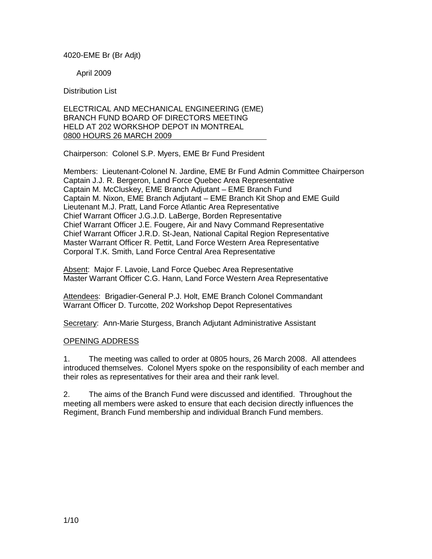### 4020-EME Br (Br Adjt)

April 2009

Distribution List

#### ELECTRICAL AND MECHANICAL ENGINEERING (EME) BRANCH FUND BOARD OF DIRECTORS MEETING HELD AT 202 WORKSHOP DEPOT IN MONTREAL 0800 HOURS 26 MARCH 2009

Chairperson: Colonel S.P. Myers, EME Br Fund President

Members: Lieutenant-Colonel N. Jardine, EME Br Fund Admin Committee Chairperson Captain J.J. R. Bergeron, Land Force Quebec Area Representative Captain M. McCluskey, EME Branch Adjutant – EME Branch Fund Captain M. Nixon, EME Branch Adjutant – EME Branch Kit Shop and EME Guild Lieutenant M.J. Pratt, Land Force Atlantic Area Representative Chief Warrant Officer J.G.J.D. LaBerge, Borden Representative Chief Warrant Officer J.E. Fougere, Air and Navy Command Representative Chief Warrant Officer J.R.D. St-Jean, National Capital Region Representative Master Warrant Officer R. Pettit, Land Force Western Area Representative Corporal T.K. Smith, Land Force Central Area Representative

Absent: Major F. Lavoie, Land Force Quebec Area Representative Master Warrant Officer C.G. Hann, Land Force Western Area Representative

Attendees: Brigadier-General P.J. Holt, EME Branch Colonel Commandant Warrant Officer D. Turcotte, 202 Workshop Depot Representatives

Secretary: Ann-Marie Sturgess, Branch Adjutant Administrative Assistant

#### OPENING ADDRESS

1. The meeting was called to order at 0805 hours, 26 March 2008. All attendees introduced themselves. Colonel Myers spoke on the responsibility of each member and their roles as representatives for their area and their rank level.

2. The aims of the Branch Fund were discussed and identified. Throughout the meeting all members were asked to ensure that each decision directly influences the Regiment, Branch Fund membership and individual Branch Fund members.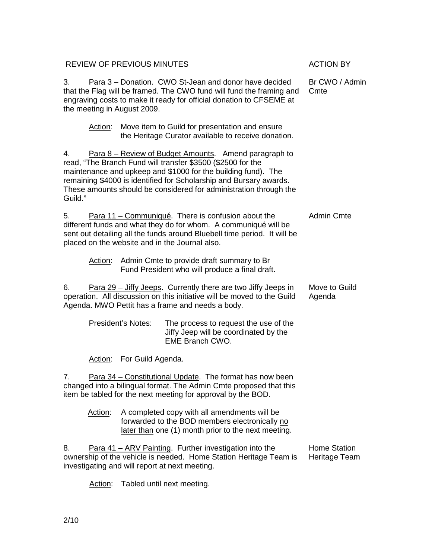# REVIEW OF PREVIOUS MINUTES ACTION BY

3. Para 3 – Donation. CWO St-Jean and donor have decided that the Flag will be framed. The CWO fund will fund the framing and engraving costs to make it ready for official donation to CFSEME at the meeting in August 2009.

 Action: Move item to Guild for presentation and ensure the Heritage Curator available to receive donation.

4. Para 8 – Review of Budget Amounts. Amend paragraph to read, "The Branch Fund will transfer \$3500 (\$2500 for the maintenance and upkeep and \$1000 for the building fund). The remaining \$4000 is identified for Scholarship and Bursary awards. These amounts should be considered for administration through the Guild."

5. Para 11 – Communiqué. There is confusion about the different funds and what they do for whom. A communiqué will be sent out detailing all the funds around Bluebell time period. It will be placed on the website and in the Journal also. Admin Cmte

 Action: Admin Cmte to provide draft summary to Br Fund President who will produce a final draft.

6. Para 29 – Jiffy Jeeps. Currently there are two Jiffy Jeeps in operation. All discussion on this initiative will be moved to the Guild Agenda. MWO Pettit has a frame and needs a body. Move to Guild Agenda

| <b>President's Notes:</b> | The process to request the use of the |
|---------------------------|---------------------------------------|
|                           | Jiffy Jeep will be coordinated by the |
|                           | EME Branch CWO.                       |

Action: For Guild Agenda.

7. Para 34 – Constitutional Update. The format has now been changed into a bilingual format. The Admin Cmte proposed that this item be tabled for the next meeting for approval by the BOD.

> Action: A completed copy with all amendments will be forwarded to the BOD members electronically no later than one (1) month prior to the next meeting.

8. Para 41 – ARV Painting. Further investigation into the ownership of the vehicle is needed. Home Station Heritage Team is investigating and will report at next meeting. Home Station Heritage Team

Action: Tabled until next meeting.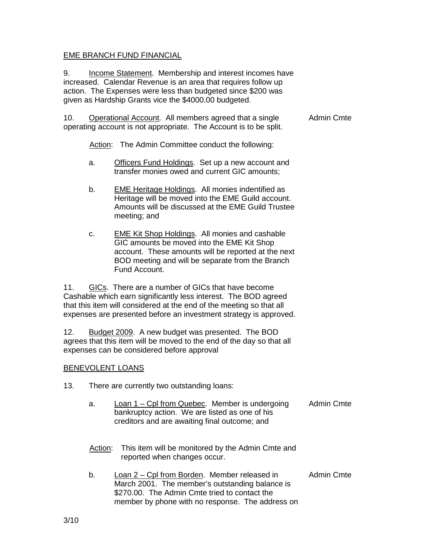# EME BRANCH FUND FINANCIAL

9. Income Statement. Membership and interest incomes have increased. Calendar Revenue is an area that requires follow up action. The Expenses were less than budgeted since \$200 was given as Hardship Grants vice the \$4000.00 budgeted.

10. Operational Account. All members agreed that a single operating account is not appropriate. The Account is to be split. Admin Cmte

Action: The Admin Committee conduct the following:

- a. Officers Fund Holdings. Set up a new account and transfer monies owed and current GIC amounts;
- b. EME Heritage Holdings. All monies indentified as Heritage will be moved into the EME Guild account. Amounts will be discussed at the EME Guild Trustee meeting; and
- c. EME Kit Shop Holdings. All monies and cashable GIC amounts be moved into the EME Kit Shop account. These amounts will be reported at the next BOD meeting and will be separate from the Branch Fund Account.

11. GICs. There are a number of GICs that have become Cashable which earn significantly less interest. The BOD agreed that this item will considered at the end of the meeting so that all expenses are presented before an investment strategy is approved.

12. Budget 2009. A new budget was presented. The BOD agrees that this item will be moved to the end of the day so that all expenses can be considered before approval

#### BENEVOLENT LOANS

- 13. There are currently two outstanding loans:
	- a. Loan 1 Cpl from Quebec. Member is undergoing bankruptcy action. We are listed as one of his creditors and are awaiting final outcome; and Admin Cmte
	- Action: This item will be monitored by the Admin Cmte and reported when changes occur.
	- b. Loan 2 Cpl from Borden. Member released in March 2001. The member's outstanding balance is \$270.00. The Admin Cmte tried to contact the member by phone with no response. The address on Admin Cmte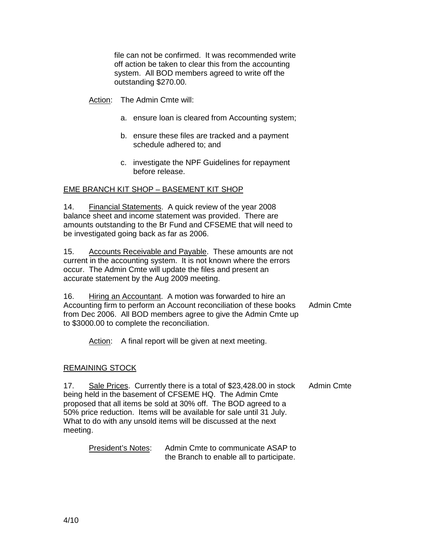file can not be confirmed. It was recommended write off action be taken to clear this from the accounting system. All BOD members agreed to write off the outstanding \$270.00.

Action: The Admin Cmte will:

- a. ensure loan is cleared from Accounting system;
- b. ensure these files are tracked and a payment schedule adhered to; and
- c. investigate the NPF Guidelines for repayment before release.

# EME BRANCH KIT SHOP – BASEMENT KIT SHOP

14. Financial Statements. A quick review of the year 2008 balance sheet and income statement was provided. There are amounts outstanding to the Br Fund and CFSEME that will need to be investigated going back as far as 2006.

15. Accounts Receivable and Payable. These amounts are not current in the accounting system. It is not known where the errors occur. The Admin Cmte will update the files and present an accurate statement by the Aug 2009 meeting.

16. Hiring an Accountant. A motion was forwarded to hire an Accounting firm to perform an Account reconciliation of these books from Dec 2006. All BOD members agree to give the Admin Cmte up to \$3000.00 to complete the reconciliation. Admin Cmte

Action: A final report will be given at next meeting.

#### REMAINING STOCK

17. Sale Prices. Currently there is a total of \$23,428.00 in stock being held in the basement of CFSEME HQ. The Admin Cmte proposed that all items be sold at 30% off. The BOD agreed to a 50% price reduction. Items will be available for sale until 31 July. What to do with any unsold items will be discussed at the next meeting. Admin Cmte

 President's Notes: Admin Cmte to communicate ASAP to the Branch to enable all to participate.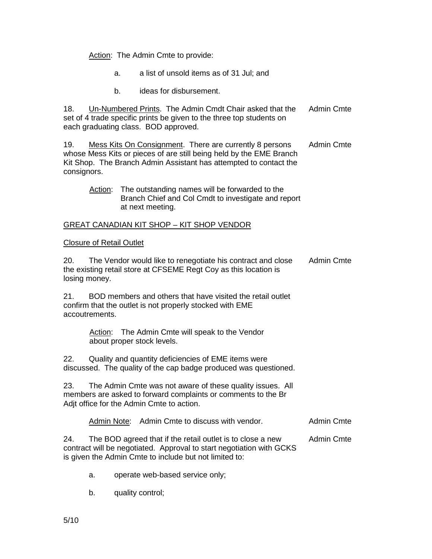Action: The Admin Cmte to provide:

- a. a list of unsold items as of 31 Jul; and
- b. ideas for disbursement.

18. Un-Numbered Prints. The Admin Cmdt Chair asked that the set of 4 trade specific prints be given to the three top students on each graduating class. BOD approved. Admin Cmte

19. Mess Kits On Consignment. There are currently 8 persons whose Mess Kits or pieces of are still being held by the EME Branch Kit Shop. The Branch Admin Assistant has attempted to contact the consignors. Admin Cmte

 Action: The outstanding names will be forwarded to the Branch Chief and Col Cmdt to investigate and report at next meeting.

### GREAT CANADIAN KIT SHOP – KIT SHOP VENDOR

#### Closure of Retail Outlet

20. The Vendor would like to renegotiate his contract and close the existing retail store at CFSEME Regt Coy as this location is losing money. Admin Cmte

21. BOD members and others that have visited the retail outlet confirm that the outlet is not properly stocked with EME accoutrements.

> Action: The Admin Cmte will speak to the Vendor about proper stock levels.

22. Quality and quantity deficiencies of EME items were discussed. The quality of the cap badge produced was questioned.

23. The Admin Cmte was not aware of these quality issues. All members are asked to forward complaints or comments to the Br Adjt office for the Admin Cmte to action.

Admin Note: Admin Cmte to discuss with vendor. Admin Cmte

24. The BOD agreed that if the retail outlet is to close a new contract will be negotiated. Approval to start negotiation with GCKS is given the Admin Cmte to include but not limited to: Admin Cmte

- a. operate web-based service only;
- b. quality control;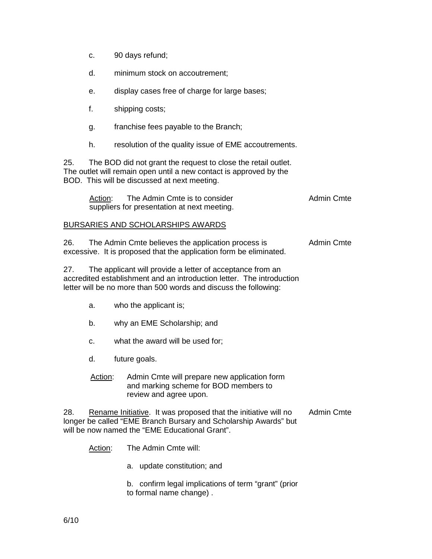- c. 90 days refund;
- d. minimum stock on accoutrement;
- e. display cases free of charge for large bases;
- f. shipping costs;
- g. franchise fees payable to the Branch;
- h. resolution of the quality issue of EME accoutrements.

25. The BOD did not grant the request to close the retail outlet. The outlet will remain open until a new contact is approved by the BOD. This will be discussed at next meeting.

| Action: | The Admin Cmte is to consider               | Admin Cmte |
|---------|---------------------------------------------|------------|
|         | suppliers for presentation at next meeting. |            |

# BURSARIES AND SCHOLARSHIPS AWARDS

26. The Admin Cmte believes the application process is excessive. It is proposed that the application form be eliminated. Admin Cmte

27. The applicant will provide a letter of acceptance from an accredited establishment and an introduction letter. The introduction letter will be no more than 500 words and discuss the following:

- a. who the applicant is;
- b. why an EME Scholarship; and
- c. what the award will be used for;
- d. future goals.
- Action: Admin Cmte will prepare new application form and marking scheme for BOD members to review and agree upon.

28. Rename Initiative. It was proposed that the initiative will no longer be called "EME Branch Bursary and Scholarship Awards" but will be now named the "EME Educational Grant". Admin Cmte

Action: The Admin Cmte will:

a. update constitution; and

b. confirm legal implications of term "grant" (prior to formal name change) .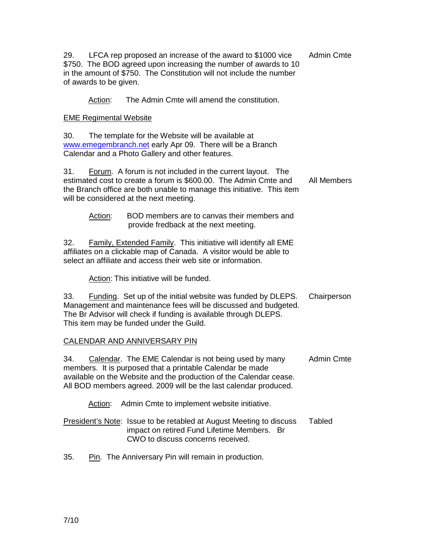29. LFCA rep proposed an increase of the award to \$1000 vice \$750. The BOD agreed upon increasing the number of awards to 10 in the amount of \$750. The Constitution will not include the number of awards to be given. Admin Cmte

Action: The Admin Cmte will amend the constitution.

# EME Regimental Website

30. The template for the Website will be available at www.emegembranch.net early Apr 09. There will be a Branch Calendar and a Photo Gallery and other features.

31. Forum. A forum is not included in the current layout. The estimated cost to create a forum is \$600.00. The Admin Cmte and the Branch office are both unable to manage this initiative. This item will be considered at the next meeting. All Members

 Action: BOD members are to canvas their members and provide fredback at the next meeting.

32. Family, Extended Family. This initiative will identify all EME affiliates on a clickable map of Canada. A visitor would be able to select an affiliate and access their web site or information.

Action: This initiative will be funded.

33. Funding. Set up of the initial website was funded by DLEPS. Management and maintenance fees will be discussed and budgeted. The Br Advisor will check if funding is available through DLEPS. This item may be funded under the Guild. **Chairperson** 

# CALENDAR AND ANNIVERSARY PIN

34. Calendar. The EME Calendar is not being used by many members. It is purposed that a printable Calendar be made available on the Website and the production of the Calendar cease. All BOD members agreed. 2009 will be the last calendar produced. Admin Cmte

Action: Admin Cmte to implement website initiative.

| President's Note: Issue to be retabled at August Meeting to discuss | Tabled |
|---------------------------------------------------------------------|--------|
| impact on retired Fund Lifetime Members. Br                         |        |
| CWO to discuss concerns received.                                   |        |

35. Pin. The Anniversary Pin will remain in production.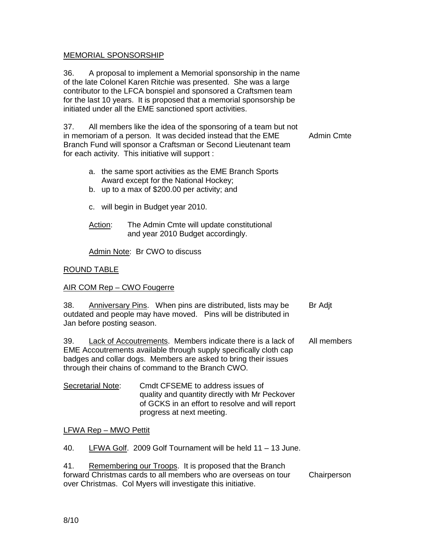### MEMORIAL SPONSORSHIP

36. A proposal to implement a Memorial sponsorship in the name of the late Colonel Karen Ritchie was presented. She was a large contributor to the LFCA bonspiel and sponsored a Craftsmen team for the last 10 years. It is proposed that a memorial sponsorship be initiated under all the EME sanctioned sport activities.

37. All members like the idea of the sponsoring of a team but not in memoriam of a person. It was decided instead that the EME Branch Fund will sponsor a Craftsman or Second Lieutenant team for each activity. This initiative will support : Admin Cmte

- a. the same sport activities as the EME Branch Sports Award except for the National Hockey;
- b. up to a max of \$200.00 per activity; and
- c. will begin in Budget year 2010.
- Action: The Admin Cmte will update constitutional and year 2010 Budget accordingly.

Admin Note: Br CWO to discuss

# ROUND TABLE

#### AIR COM Rep – CWO Fougerre

| 38.<br><b>Anniversary Pins.</b> When pins are distributed, lists may be | Br Adit |
|-------------------------------------------------------------------------|---------|
| outdated and people may have moved. Pins will be distributed in         |         |
| Jan before posting season.                                              |         |

39. Lack of Accoutrements. Members indicate there is a lack of EME Accoutrements available through supply specifically cloth cap badges and collar dogs. Members are asked to bring their issues through their chains of command to the Branch CWO. All members

#### Secretarial Note: Cmdt CFSEME to address issues of quality and quantity directly with Mr Peckover of GCKS in an effort to resolve and will report progress at next meeting.

#### LFWA Rep – MWO Pettit

40. LFWA Golf. 2009 Golf Tournament will be held 11 – 13 June.

| 41. | Remembering our Troops. It is proposed that the Branch          |             |
|-----|-----------------------------------------------------------------|-------------|
|     | forward Christmas cards to all members who are overseas on tour | Chairperson |
|     | over Christmas. Col Myers will investigate this initiative.     |             |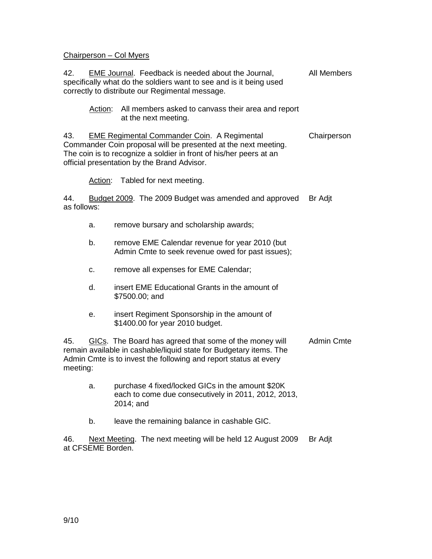### Chairperson – Col Myers

42. EME Journal. Feedback is needed about the Journal, specifically what do the soldiers want to see and is it being used correctly to distribute our Regimental message. All Members

 Action: All members asked to canvass their area and report at the next meeting.

43. EME Regimental Commander Coin. A Regimental Commander Coin proposal will be presented at the next meeting. The coin is to recognize a soldier in front of his/her peers at an official presentation by the Brand Advisor. **Chairperson** 

Action: Tabled for next meeting.

44. Budget 2009. The 2009 Budget was amended and approved as follows: Br Adjt

- a. remove bursary and scholarship awards;
- b. remove EME Calendar revenue for year 2010 (but Admin Cmte to seek revenue owed for past issues);
- c. remove all expenses for EME Calendar;
- d. insert EME Educational Grants in the amount of \$7500.00; and
- e. insert Regiment Sponsorship in the amount of \$1400.00 for year 2010 budget.

45. GICs. The Board has agreed that some of the money will remain available in cashable/liquid state for Budgetary items. The Admin Cmte is to invest the following and report status at every meeting: Admin Cmte

- a. purchase 4 fixed/locked GICs in the amount \$20K each to come due consecutively in 2011, 2012, 2013, 2014; and
- b. leave the remaining balance in cashable GIC.

46. Next Meeting. The next meeting will be held 12 August 2009 at CFSEME Borden. Br Adjt